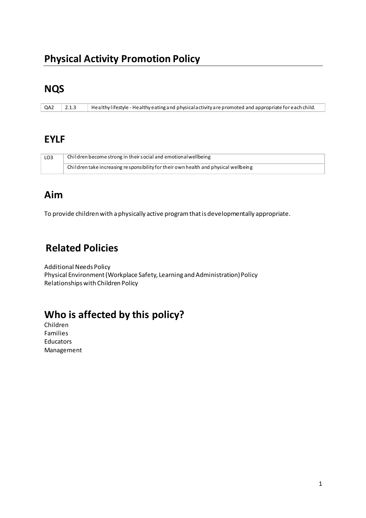### **NQS**

| QA2 2.1.3 |  | Healthy lifestyle - Healthy eating and physical activity are promoted and appropriate for each child. |
|-----------|--|-------------------------------------------------------------------------------------------------------|
|-----------|--|-------------------------------------------------------------------------------------------------------|

#### **EYLF**

| LO3 | Children become strong in their social and emotional wellbeing                      |
|-----|-------------------------------------------------------------------------------------|
|     | Children take increasing responsibility for their own health and physical wellbeing |

### **Aim**

To provide children with a physically active program that is developmentally appropriate.

# **Related Policies**

Additional Needs Policy Physical Environment (Workplace Safety, Learning and Administration) Policy Relationships with Children Policy

# **Who is affected by this policy?**

Children Families Educators Management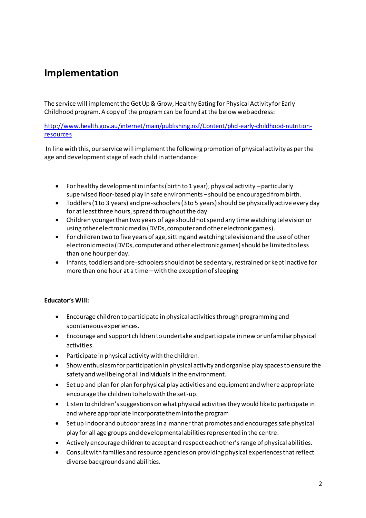## **Implementation**

The service will implement the Get Up & Grow, Healthy Eating for Physical Activity for Early Childhood program. A copy of the program can be found at the below web address:

[http://www.health.gov.au/internet/main/publishing.nsf/Content/phd-early-childhood-nutrition](http://www.health.gov.au/internet/main/publishing.nsf/Content/phd-early-childhood-nutrition-resources)[resources](http://www.health.gov.au/internet/main/publishing.nsf/Content/phd-early-childhood-nutrition-resources)

 In line with this, our service will implement the following promotion of physical activity as per the age and development stage of each child in attendance:

- For healthy development in infants (birth to 1 year), physical activity particularly supervised floor-based play in safe environments – should be encouraged from birth.
- Toddlers (1 to 3 years) and pre-schoolers (3 to 5 years) should be physically active every day for at least three hours, spread throughout the day.
- Children younger than two years of age should not spend any time watching television or using other electronic media (DVDs, computer and other electronic games).
- For children two to five years of age, sitting and watching television and the use of other electronic media (DVDs, computer and other electronic games) should be limited to less than one hour per day.
- Infants, toddlers and pre-schoolers should not be sedentary, restrained or kept inactive for more than one hour at a time – with the exception of sleeping

#### **Educator's Will:**

- Encourage children to participate in physical activities through programming and spontaneous experiences.
- Encourage and support children to undertake and participate in new or unfamiliar physical activities.
- Participate in physical activity with the children.
- Show enthusiasm for participation in physical activity and organise play spaces to ensure the safety and wellbeing of all individuals in the environment.
- Set up and plan for plan for physical play activities and equipment and where appropriate encourage the children to help with the set-up.
- Listen to children's suggestions on what physical activities they would like to participate in and where appropriate incorporate them into the program
- Set up indoor and outdoor areas in a manner that promotes and encourages safe physical play for all age groups and developmental abilities represented in the centre.
- Actively encourage children to accept and respect each other's range of physical abilities.
- Consult with families and resource agencies on providing physical experiences that reflect diverse backgrounds and abilities.